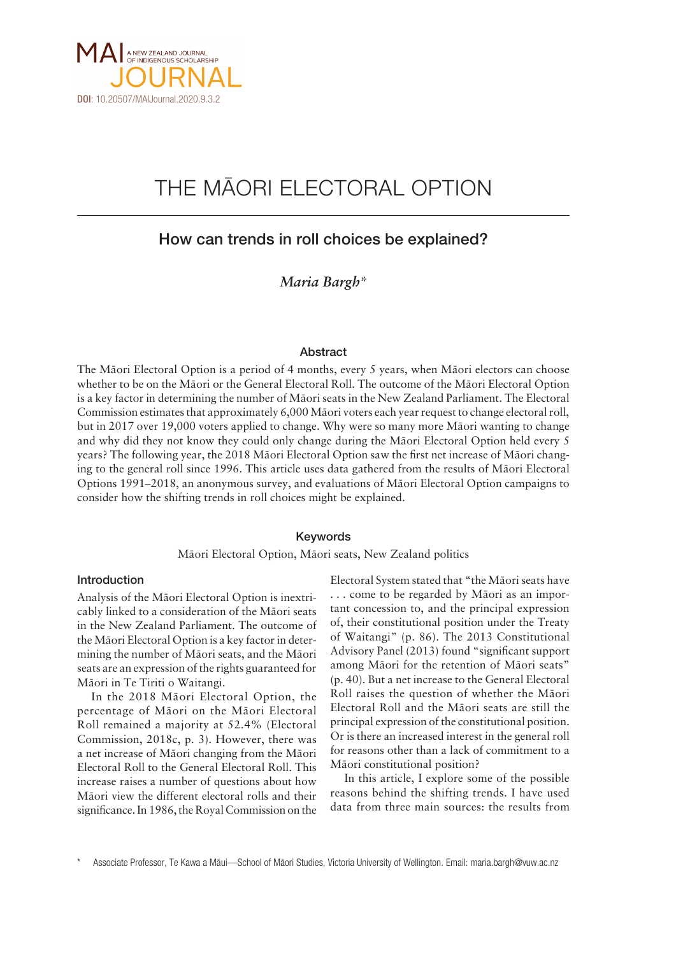

# THE MÄORI ELECTORAL OPTION

# How can trends in roll choices be explained?

*Maria Bargh\**

#### Abstract

The Mäori Electoral Option is a period of 4 months, every 5 years, when Mäori electors can choose whether to be on the Mäori or the General Electoral Roll. The outcome of the Mäori Electoral Option is a key factor in determining the number of Mäori seats in the New Zealand Parliament. The Electoral Commission estimates that approximately 6,000 Mäori voters each year request to change electoral roll, but in 2017 over 19,000 voters applied to change. Why were so many more Mäori wanting to change and why did they not know they could only change during the Mäori Electoral Option held every 5 years? The following year, the 2018 Mäori Electoral Option saw the first net increase of Mäori changing to the general roll since 1996. This article uses data gathered from the results of Mäori Electoral Options 1991–2018, an anonymous survey, and evaluations of Mäori Electoral Option campaigns to consider how the shifting trends in roll choices might be explained.

#### Keywords

Mäori Electoral Option, Mäori seats, New Zealand politics

# Introduction

Analysis of the Mäori Electoral Option is inextricably linked to a consideration of the Mäori seats in the New Zealand Parliament. The outcome of the Mäori Electoral Option is a key factor in determining the number of Mäori seats, and the Mäori seats are an expression of the rights guaranteed for Mäori in Te Tiriti o Waitangi.

In the 2018 Mäori Electoral Option, the percentage of Mäori on the Mäori Electoral Roll remained a majority at 52.4% (Electoral Commission, 2018c, p. 3). However, there was a net increase of Mäori changing from the Mäori Electoral Roll to the General Electoral Roll. This increase raises a number of questions about how Mäori view the different electoral rolls and their significance. In 1986, the Royal Commission on the Electoral System stated that "the Mäori seats have . . . come to be regarded by Mäori as an important concession to, and the principal expression of, their constitutional position under the Treaty of Waitangi" (p. 86). The 2013 Constitutional Advisory Panel (2013) found "significant support among Mäori for the retention of Mäori seats" (p. 40). But a net increase to the General Electoral Roll raises the question of whether the Mäori Electoral Roll and the Mäori seats are still the principal expression of the constitutional position. Or is there an increased interest in the general roll for reasons other than a lack of commitment to a Mäori constitutional position?

In this article, I explore some of the possible reasons behind the shifting trends. I have used data from three main sources: the results from

Associate Professor, Te Kawa a Mäui-School of Mäori Studies, Victoria University of Wellington. Email: maria.bargh@vuw.ac.nz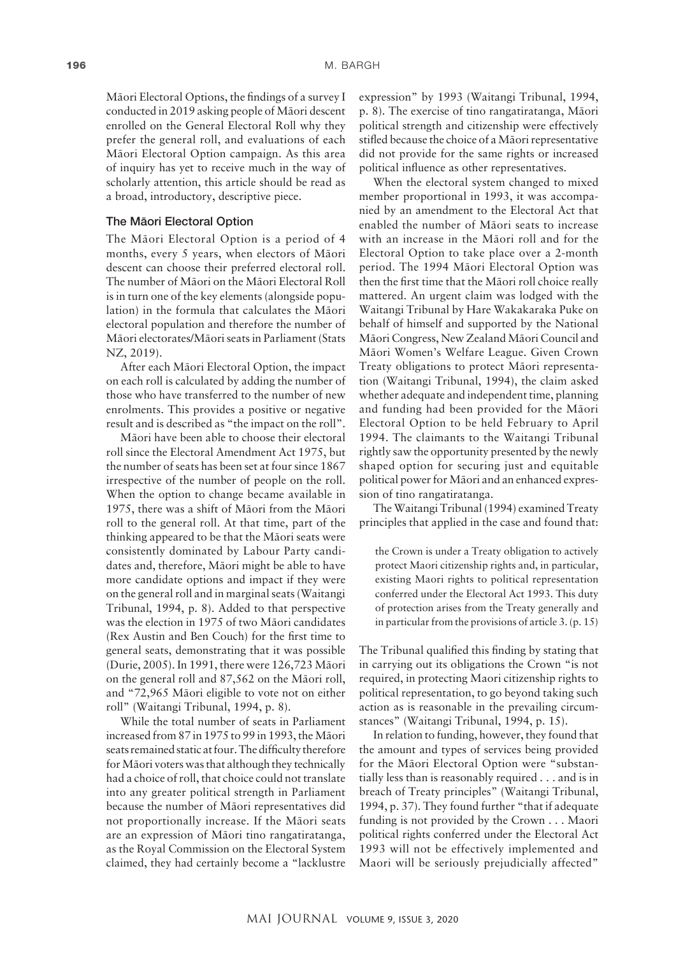Mäori Electoral Options, the findings of a survey I conducted in 2019 asking people of Mäori descent enrolled on the General Electoral Roll why they prefer the general roll, and evaluations of each Mäori Electoral Option campaign. As this area of inquiry has yet to receive much in the way of scholarly attention, this article should be read as a broad, introductory, descriptive piece.

#### The Mäori Electoral Option

The Mäori Electoral Option is a period of 4 months, every 5 years, when electors of Mäori descent can choose their preferred electoral roll. The number of Mäori on the Mäori Electoral Roll is in turn one of the key elements (alongside population) in the formula that calculates the Mäori electoral population and therefore the number of Mäori electorates/Mäori seats in Parliament (Stats NZ, 2019).

After each Mäori Electoral Option, the impact on each roll is calculated by adding the number of those who have transferred to the number of new enrolments. This provides a positive or negative result and is described as "the impact on the roll".

Mäori have been able to choose their electoral roll since the Electoral Amendment Act 1975, but the number of seats has been set at four since 1867 irrespective of the number of people on the roll. When the option to change became available in 1975, there was a shift of Mäori from the Mäori roll to the general roll. At that time, part of the thinking appeared to be that the Mäori seats were consistently dominated by Labour Party candidates and, therefore, Mäori might be able to have more candidate options and impact if they were on the general roll and in marginal seats (Waitangi Tribunal, 1994, p. 8). Added to that perspective was the election in 1975 of two Mäori candidates (Rex Austin and Ben Couch) for the first time to general seats, demonstrating that it was possible (Durie, 2005). In 1991, there were 126,723 Mäori on the general roll and 87,562 on the Mäori roll, and "72,965 Mäori eligible to vote not on either roll" (Waitangi Tribunal, 1994, p. 8).

While the total number of seats in Parliament increased from 87 in 1975 to 99 in 1993, the Mäori seats remained static at four. The difficulty therefore for Mäori voters was that although they technically had a choice of roll, that choice could not translate into any greater political strength in Parliament because the number of Mäori representatives did not proportionally increase. If the Mäori seats are an expression of Mäori tino rangatiratanga, as the Royal Commission on the Electoral System claimed, they had certainly become a "lacklustre

expression" by 1993 (Waitangi Tribunal, 1994, p. 8). The exercise of tino rangatiratanga, Mäori political strength and citizenship were effectively stifled because the choice of a Mäori representative did not provide for the same rights or increased political influence as other representatives.

When the electoral system changed to mixed member proportional in 1993, it was accompanied by an amendment to the Electoral Act that enabled the number of Mäori seats to increase with an increase in the Mäori roll and for the Electoral Option to take place over a 2-month period. The 1994 Mäori Electoral Option was then the first time that the Mäori roll choice really mattered. An urgent claim was lodged with the Waitangi Tribunal by Hare Wakakaraka Puke on behalf of himself and supported by the National Mäori Congress, New Zealand Mäori Council and Mäori Women's Welfare League. Given Crown Treaty obligations to protect Mäori representation (Waitangi Tribunal, 1994), the claim asked whether adequate and independent time, planning and funding had been provided for the Mäori Electoral Option to be held February to April 1994. The claimants to the Waitangi Tribunal rightly saw the opportunity presented by the newly shaped option for securing just and equitable political power for Mäori and an enhanced expression of tino rangatiratanga.

The Waitangi Tribunal (1994) examined Treaty principles that applied in the case and found that:

the Crown is under a Treaty obligation to actively protect Maori citizenship rights and, in particular, existing Maori rights to political representation conferred under the Electoral Act 1993. This duty of protection arises from the Treaty generally and in particular from the provisions of article 3. (p. 15)

The Tribunal qualified this finding by stating that in carrying out its obligations the Crown "is not required, in protecting Maori citizenship rights to political representation, to go beyond taking such action as is reasonable in the prevailing circumstances" (Waitangi Tribunal, 1994, p. 15).

In relation to funding, however, they found that the amount and types of services being provided for the Mäori Electoral Option were "substantially less than is reasonably required . . . and is in breach of Treaty principles" (Waitangi Tribunal, 1994, p. 37). They found further "that if adequate funding is not provided by the Crown . . . Maori political rights conferred under the Electoral Act 1993 will not be effectively implemented and Maori will be seriously prejudicially affected"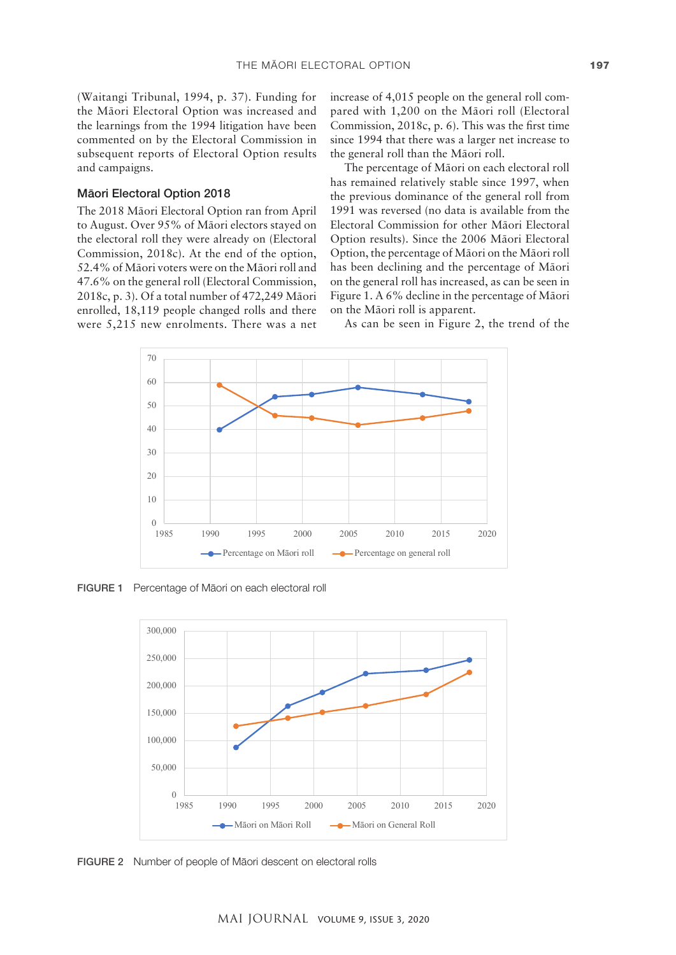(Waitangi Tribunal, 1994, p. 37). Funding for the Mäori Electoral Option was increased and the learnings from the 1994 litigation have been commented on by the Electoral Commission in subsequent reports of Electoral Option results and campaigns.

## Mäori Electoral Option 2018

The 2018 Mäori Electoral Option ran from April to August. Over 95% of Mäori electors stayed on the electoral roll they were already on (Electoral Commission, 2018c). At the end of the option, 52.4% of Mäori voters were on the Mäori roll and 47.6% on the general roll (Electoral Commission,  $\frac{1}{2}$  $2018c$ , p. 3). Of a total number of 472,249 Māori H enrolled, 18,119 people changed rolls and there were  $5,215$  new enrolments. There was a net  $\qquad$  As can be

increase of 4,015 people on the general roll compared with 1,200 on the Mäori roll (Electoral Commission, 2018c, p. 6). This was the first time since 1994 that there was a larger net increase to the general roll than the Mäori roll.

The percentage of Mäori on each electoral roll has remained relatively stable since 1997, when the previous dominance of the general roll from 1991 was reversed (no data is available from the Electoral Commission for other Mäori Electoral Option results). Since the 2006 Mäori Electoral Option, the percentage of Mäori on the Mäori roll has been declining and the percentage of Mäori on the general roll has increased, as can be seen in Figure 1. A 6% decline in the percentage of Mäori on the Mäori roll is apparent.

As can be seen in Figure 2, the trend of the



FIGURE 1 Percentage of Māori on each electoral roll



FIGURE 2 Number of people of Mäori descent on electoral rolls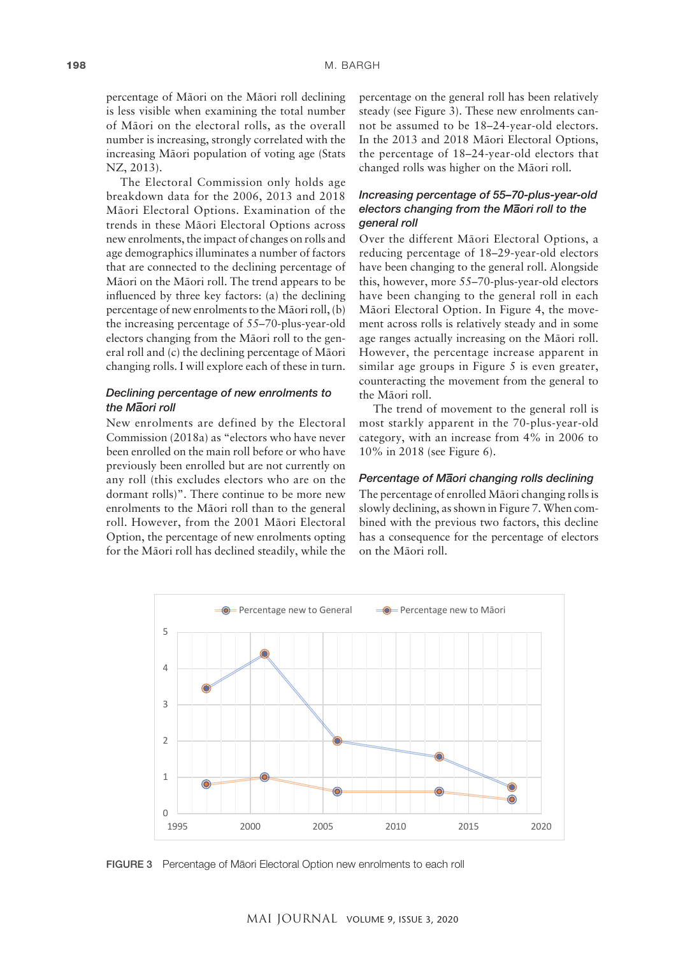percentage of Mäori on the Mäori roll declining is less visible when examining the total number of Mäori on the electoral rolls, as the overall number is increasing, strongly correlated with the increasing Mäori population of voting age (Stats NZ, 2013).

The Electoral Commission only holds age breakdown data for the 2006, 2013 and 2018 Mäori Electoral Options. Examination of the trends in these Mäori Electoral Options across new enrolments, the impact of changes on rolls and age demographics illuminates a number of factors that are connected to the declining percentage of Mäori on the Mäori roll. The trend appears to be influenced by three key factors: (a) the declining percentage of new enrolments to the Mäori roll, (b) the increasing percentage of 55–70-plus-year-old electors changing from the Mäori roll to the general roll and (c) the declining percentage of Mäori changing rolls. I will explore each of these in turn.

# *Declining percentage of new enrolments to the M– aori roll*

New enrolments are defined by the Electoral Commission (2018a) as "electors who have never been enrolled on the main roll before or who have previously been enrolled but are not currently on any roll (this excludes electors who are on the dormant rolls)". There continue to be more new enrolments to the Mäori roll than to the general roll. However, from the 2001 Mäori Electoral Option, the percentage of new enrolments opting for the Mäori roll has declined steadily, while the percentage on the general roll has been relatively steady (see Figure 3). These new enrolments cannot be assumed to be 18–24-year-old electors. In the 2013 and 2018 Mäori Electoral Options, the percentage of 18–24-year-old electors that changed rolls was higher on the Mäori roll.

# *Increasing percentage of 55–70-plus-year-old electors changing from the M– aori roll to the general roll*

Over the different Mäori Electoral Options, a reducing percentage of 18–29-year-old electors have been changing to the general roll. Alongside this, however, more 55–70-plus-year-old electors have been changing to the general roll in each Mäori Electoral Option. In Figure 4, the movement across rolls is relatively steady and in some age ranges actually increasing on the Mäori roll. However, the percentage increase apparent in similar age groups in Figure 5 is even greater, counteracting the movement from the general to the Mäori roll.

The trend of movement to the general roll is most starkly apparent in the 70-plus-year-old category, with an increase from 4% in 2006 to 10% in 2018 (see Figure 6).

# *Percentage of M– aori changing rolls declining*

The percentage of enrolled Mäori changing rolls is slowly declining, as shown in Figure 7. When combined with the previous two factors, this decline has a consequence for the percentage of electors on the Mäori roll.



FIGURE 3 Percentage of Mäori Electoral Option new enrolments to each roll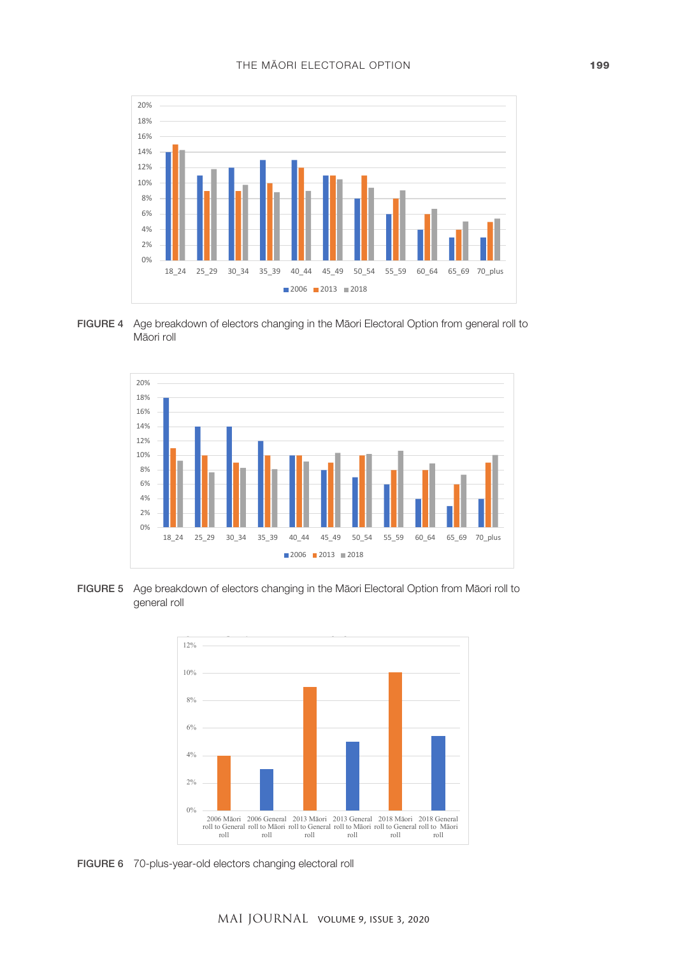





FIGURE 5 Age breakdown of electors changing in the Māori Electoral Option from Māori roll to general roll. **Figure 20 plus year old electors changing electronic electors changing electronic electors** 



FIGURE 6 70-plus-year-old electors changing electoral roll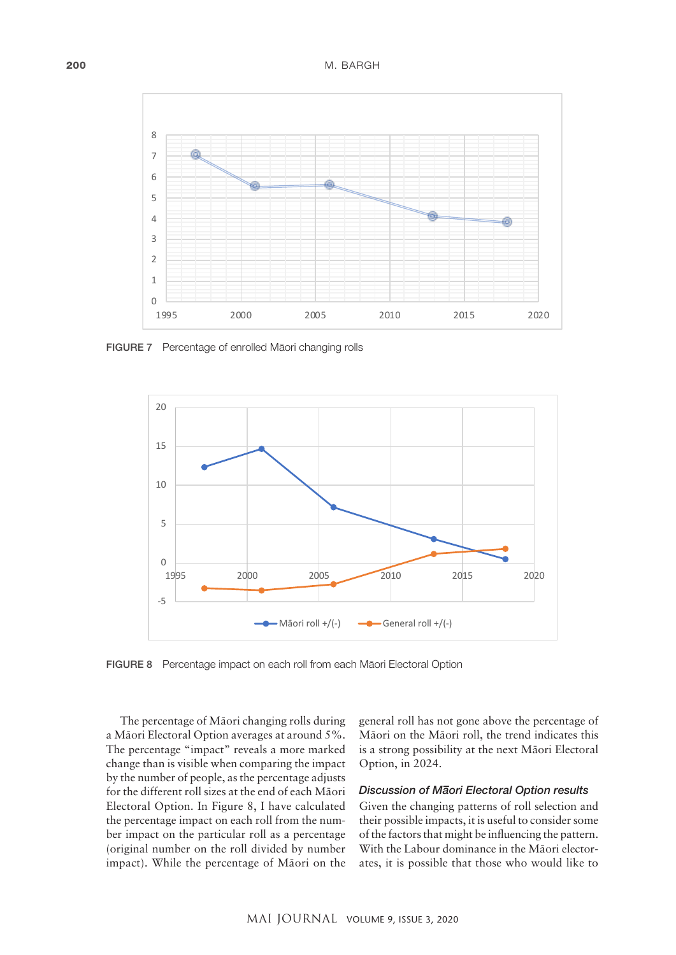

FIGURE 7 Percentage of enrolled Mäori changing rolls



FIGURE 8 Percentage impact on each roll from each Mäori Electoral Option

The percentage of Mäori changing rolls during a Mäori Electoral Option averages at around 5%. The percentage "impact" reveals a more marked change than is visible when comparing the impact by the number of people, as the percentage adjusts for the different roll sizes at the end of each Mäori Electoral Option. In Figure 8, I have calculated the percentage impact on each roll from the number impact on the particular roll as a percentage (original number on the roll divided by number impact). While the percentage of Mäori on the

ercentage of Māori changing rolls during general roll has not gone above the percentage of Mäori on the Mäori roll, the trend indicates this is a strong possibility at the next Mäori Electoral Option, in 2024.

# *Discussion of M– aori Electoral Option results*

Given the changing patterns of roll selection and their possible impacts, it is useful to consider some of the factors that might be influencing the pattern. With the Labour dominance in the Mäori electorates, it is possible that those who would like to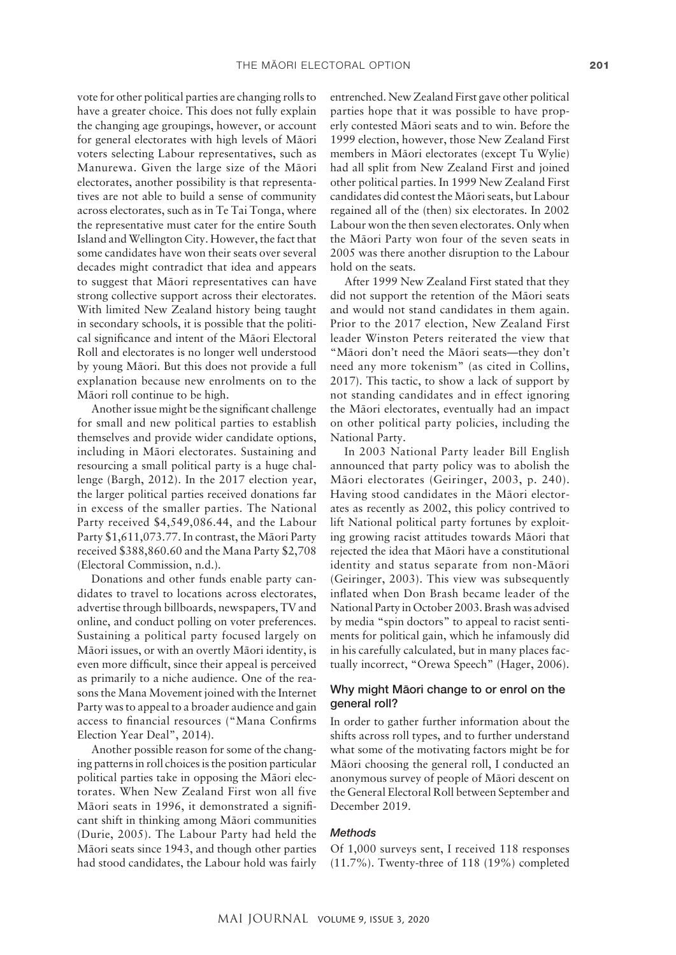vote for other political parties are changing rolls to have a greater choice. This does not fully explain the changing age groupings, however, or account for general electorates with high levels of Mäori voters selecting Labour representatives, such as Manurewa. Given the large size of the Mäori electorates, another possibility is that representatives are not able to build a sense of community across electorates, such as in Te Tai Tonga, where the representative must cater for the entire South Island and Wellington City. However, the fact that some candidates have won their seats over several decades might contradict that idea and appears to suggest that Mäori representatives can have strong collective support across their electorates. With limited New Zealand history being taught in secondary schools, it is possible that the political significance and intent of the Mäori Electoral Roll and electorates is no longer well understood by young Mäori. But this does not provide a full explanation because new enrolments on to the Mäori roll continue to be high.

Another issue might be the significant challenge for small and new political parties to establish themselves and provide wider candidate options, including in Mäori electorates. Sustaining and resourcing a small political party is a huge challenge (Bargh, 2012). In the 2017 election year, the larger political parties received donations far in excess of the smaller parties. The National Party received \$4,549,086.44, and the Labour Party \$1,611,073.77. In contrast, the Mäori Party received \$388,860.60 and the Mana Party \$2,708 (Electoral Commission, n.d.).

Donations and other funds enable party candidates to travel to locations across electorates, advertise through billboards, newspapers, TV and online, and conduct polling on voter preferences. Sustaining a political party focused largely on Mäori issues, or with an overtly Mäori identity, is even more difficult, since their appeal is perceived as primarily to a niche audience. One of the reasons the Mana Movement joined with the Internet Party was to appeal to a broader audience and gain access to financial resources ("Mana Confirms Election Year Deal", 2014).

Another possible reason for some of the changing patterns in roll choices is the position particular political parties take in opposing the Mäori electorates. When New Zealand First won all five Mäori seats in 1996, it demonstrated a significant shift in thinking among Mäori communities (Durie, 2005). The Labour Party had held the Mäori seats since 1943, and though other parties had stood candidates, the Labour hold was fairly

entrenched. New Zealand First gave other political parties hope that it was possible to have properly contested Mäori seats and to win. Before the 1999 election, however, those New Zealand First members in Mäori electorates (except Tu Wylie) had all split from New Zealand First and joined other political parties. In 1999 New Zealand First candidates did contest the Mäori seats, but Labour regained all of the (then) six electorates. In 2002 Labour won the then seven electorates. Only when the Mäori Party won four of the seven seats in 2005 was there another disruption to the Labour hold on the seats.

After 1999 New Zealand First stated that they did not support the retention of the Mäori seats and would not stand candidates in them again. Prior to the 2017 election, New Zealand First leader Winston Peters reiterated the view that "Mäori don't need the Mäori seats—they don't need any more tokenism" (as cited in Collins, 2017). This tactic, to show a lack of support by not standing candidates and in effect ignoring the Mäori electorates, eventually had an impact on other political party policies, including the National Party.

In 2003 National Party leader Bill English announced that party policy was to abolish the Mäori electorates (Geiringer, 2003, p. 240). Having stood candidates in the Mäori electorates as recently as 2002, this policy contrived to lift National political party fortunes by exploiting growing racist attitudes towards Mäori that rejected the idea that Mäori have a constitutional identity and status separate from non-Mäori (Geiringer, 2003). This view was subsequently inflated when Don Brash became leader of the National Party in October 2003. Brash was advised by media "spin doctors" to appeal to racist sentiments for political gain, which he infamously did in his carefully calculated, but in many places factually incorrect, "Orewa Speech" (Hager, 2006).

# Why might Mäori change to or enrol on the general roll?

In order to gather further information about the shifts across roll types, and to further understand what some of the motivating factors might be for Mäori choosing the general roll, I conducted an anonymous survey of people of Mäori descent on the General Electoral Roll between September and December 2019.

# *Methods*

Of 1,000 surveys sent, I received 118 responses (11.7%). Twenty-three of 118 (19%) completed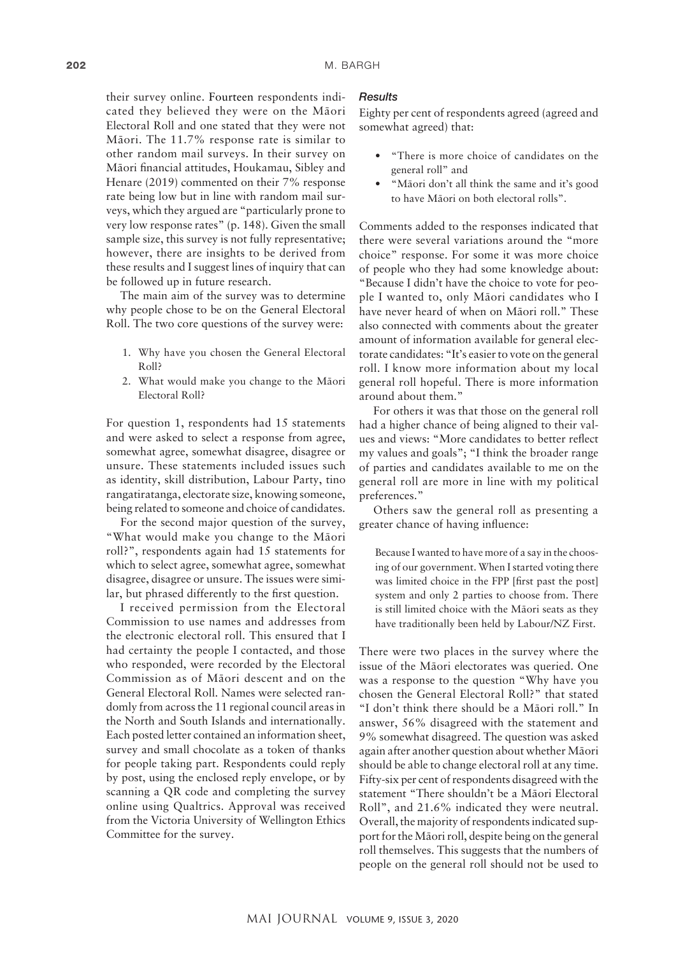their survey online. Fourteen respondents indicated they believed they were on the Mäori Electoral Roll and one stated that they were not Mäori. The 11.7% response rate is similar to other random mail surveys. In their survey on Mäori financial attitudes, Houkamau, Sibley and Henare (2019) commented on their 7% response rate being low but in line with random mail surveys, which they argued are "particularly prone to very low response rates" (p. 148). Given the small sample size, this survey is not fully representative; however, there are insights to be derived from these results and I suggest lines of inquiry that can be followed up in future research.

The main aim of the survey was to determine why people chose to be on the General Electoral Roll. The two core questions of the survey were:

- 1. Why have you chosen the General Electoral Roll?
- 2. What would make you change to the Mäori Electoral Roll?

For question 1, respondents had 15 statements and were asked to select a response from agree, somewhat agree, somewhat disagree, disagree or unsure. These statements included issues such as identity, skill distribution, Labour Party, tino rangatiratanga, electorate size, knowing someone, being related to someone and choice of candidates.

For the second major question of the survey, "What would make you change to the Mäori roll?", respondents again had 15 statements for which to select agree, somewhat agree, somewhat disagree, disagree or unsure. The issues were similar, but phrased differently to the first question.

I received permission from the Electoral Commission to use names and addresses from the electronic electoral roll. This ensured that I had certainty the people I contacted, and those who responded, were recorded by the Electoral Commission as of Mäori descent and on the General Electoral Roll. Names were selected randomly from across the 11 regional council areas in the North and South Islands and internationally. Each posted letter contained an information sheet, survey and small chocolate as a token of thanks for people taking part. Respondents could reply by post, using the enclosed reply envelope, or by scanning a QR code and completing the survey online using Qualtrics. Approval was received from the Victoria University of Wellington Ethics Committee for the survey.

#### *Results*

Eighty per cent of respondents agreed (agreed and somewhat agreed) that:

- "There is more choice of candidates on the general roll" and
- "Mäori don't all think the same and it's good to have Mäori on both electoral rolls".

Comments added to the responses indicated that there were several variations around the "more choice" response. For some it was more choice of people who they had some knowledge about: "Because I didn't have the choice to vote for people I wanted to, only Mäori candidates who I have never heard of when on Mäori roll." These also connected with comments about the greater amount of information available for general electorate candidates: "It's easier to vote on the general roll. I know more information about my local general roll hopeful. There is more information around about them."

For others it was that those on the general roll had a higher chance of being aligned to their values and views: "More candidates to better reflect my values and goals"; "I think the broader range of parties and candidates available to me on the general roll are more in line with my political preferences."

Others saw the general roll as presenting a greater chance of having influence:

Because I wanted to have more of a say in the choosing of our government. When I started voting there was limited choice in the FPP [first past the post] system and only 2 parties to choose from. There is still limited choice with the Mäori seats as they have traditionally been held by Labour/NZ First.

There were two places in the survey where the issue of the Mäori electorates was queried. One was a response to the question "Why have you chosen the General Electoral Roll?" that stated "I don't think there should be a Mäori roll." In answer, 56% disagreed with the statement and 9% somewhat disagreed. The question was asked again after another question about whether Mäori should be able to change electoral roll at any time. Fifty-six per cent of respondents disagreed with the statement "There shouldn't be a Mäori Electoral Roll", and 21.6% indicated they were neutral. Overall, the majority of respondents indicated support for the Mäori roll, despite being on the general roll themselves. This suggests that the numbers of people on the general roll should not be used to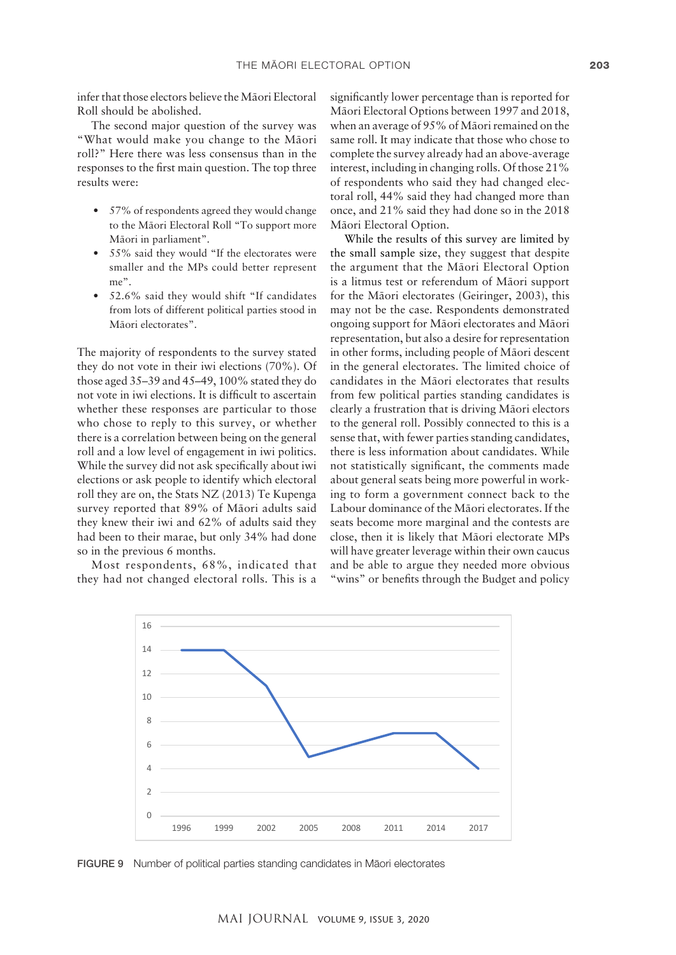infer that those electors believe the Mäori Electoral Roll should be abolished.

The second major question of the survey was "What would make you change to the Mäori roll?" Here there was less consensus than in the responses to the first main question. The top three results were:

- 57% of respondents agreed they would change to the Mäori Electoral Roll "To support more Mäori in parliament".
- 55% said they would "If the electorates were smaller and the MPs could better represent me".
- 52.6% said they would shift "If candidates from lots of different political parties stood in Mäori electorates".

The majority of respondents to the survey stated they do not vote in their iwi elections (70%). Of those aged 35–39 and 45–49, 100% stated they do not vote in iwi elections. It is difficult to ascertain whether these responses are particular to those who chose to reply to this survey, or whether there is a correlation between being on the general roll and a low level of engagement in iwi politics. While the survey did not ask specifically about iwi elections or ask people to identify which electoral roll they are on, the Stats NZ (2013) Te Kupenga survey reported that 89% of Mäori adults said they knew their iwi and 62% of adults said they had been to their marae, but only 34% had done so in the previous 6 months.

Most respondents, 68%, indicated that they had not changed electoral rolls. This is a significantly lower percentage than is reported for Mäori Electoral Options between 1997 and 2018, when an average of 95% of Mäori remained on the same roll. It may indicate that those who chose to complete the survey already had an above-average interest, including in changing rolls. Of those 21% of respondents who said they had changed electoral roll, 44% said they had changed more than once, and 21% said they had done so in the 2018 Mäori Electoral Option.

While the results of this survey are limited by the small sample size, they suggest that despite the argument that the Mäori Electoral Option is a litmus test or referendum of Mäori support for the Mäori electorates (Geiringer, 2003), this may not be the case. Respondents demonstrated ongoing support for Mäori electorates and Mäori representation, but also a desire for representation in other forms, including people of Mäori descent in the general electorates. The limited choice of candidates in the Mäori electorates that results from few political parties standing candidates is clearly a frustration that is driving Mäori electors to the general roll. Possibly connected to this is a sense that, with fewer parties standing candidates, there is less information about candidates. While not statistically significant, the comments made about general seats being more powerful in working to form a government connect back to the Labour dominance of the Mäori electorates. If the seats become more marginal and the contests are close, then it is likely that Mäori electorate MPs will have greater leverage within their own caucus and be able to argue they needed more obvious "wins" or benefits through the Budget and policy



FIGURE 9 Number of political parties standing candidates in Mäori electorates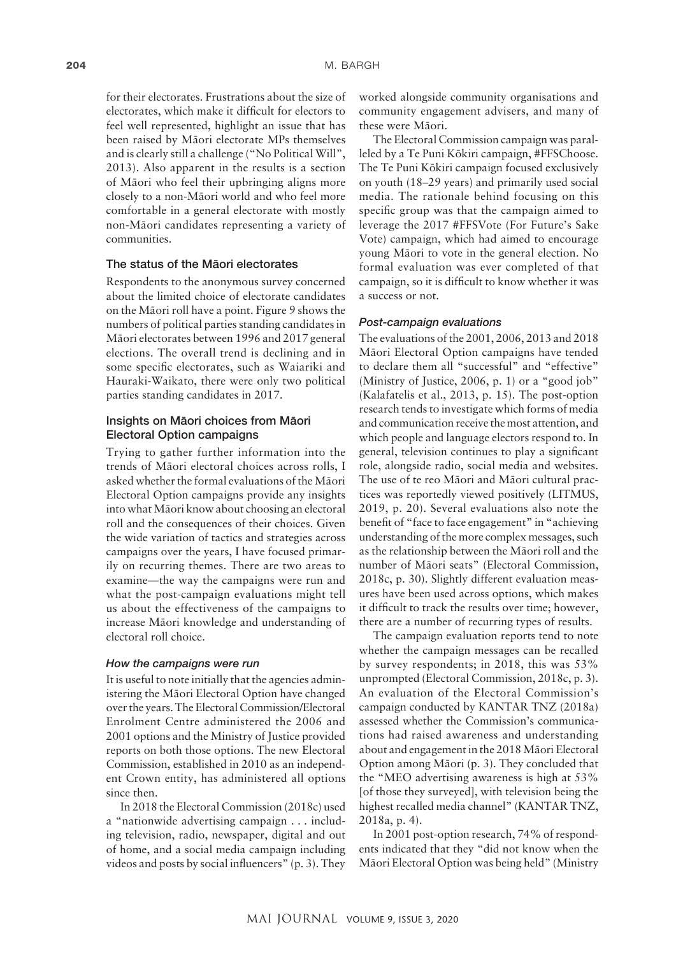for their electorates. Frustrations about the size of electorates, which make it difficult for electors to feel well represented, highlight an issue that has been raised by Mäori electorate MPs themselves and is clearly still a challenge ("No Political Will", 2013). Also apparent in the results is a section of Mäori who feel their upbringing aligns more closely to a non-Mäori world and who feel more comfortable in a general electorate with mostly non-Mäori candidates representing a variety of communities.

#### The status of the Mäori electorates

Respondents to the anonymous survey concerned about the limited choice of electorate candidates on the Mäori roll have a point. Figure 9 shows the numbers of political parties standing candidates in Mäori electorates between 1996 and 2017 general elections. The overall trend is declining and in some specific electorates, such as Waiariki and Hauraki-Waikato, there were only two political parties standing candidates in 2017.

# Insights on Mäori choices from Mäori Electoral Option campaigns

Trying to gather further information into the trends of Mäori electoral choices across rolls, I asked whether the formal evaluations of the Mäori Electoral Option campaigns provide any insights into what Mäori know about choosing an electoral roll and the consequences of their choices. Given the wide variation of tactics and strategies across campaigns over the years, I have focused primarily on recurring themes. There are two areas to examine—the way the campaigns were run and what the post-campaign evaluations might tell us about the effectiveness of the campaigns to increase Mäori knowledge and understanding of electoral roll choice.

## *How the campaigns were run*

It is useful to note initially that the agencies administering the Mäori Electoral Option have changed over the years. The Electoral Commission/Electoral Enrolment Centre administered the 2006 and 2001 options and the Ministry of Justice provided reports on both those options. The new Electoral Commission, established in 2010 as an independent Crown entity, has administered all options since then.

In 2018 the Electoral Commission (2018c) used a "nationwide advertising campaign . . . including television, radio, newspaper, digital and out of home, and a social media campaign including videos and posts by social influencers" (p. 3). They

worked alongside community organisations and community engagement advisers, and many of these were Mäori.

The Electoral Commission campaign was paralleled by a Te Puni Kökiri campaign, #FFSChoose. The Te Puni Kökiri campaign focused exclusively on youth (18–29 years) and primarily used social media. The rationale behind focusing on this specific group was that the campaign aimed to leverage the 2017 #FFSVote (For Future's Sake Vote) campaign, which had aimed to encourage young Mäori to vote in the general election. No formal evaluation was ever completed of that campaign, so it is difficult to know whether it was a success or not.

#### *Post-campaign evaluations*

The evaluations of the 2001, 2006, 2013 and 2018 Mäori Electoral Option campaigns have tended to declare them all "successful" and "effective" (Ministry of Justice, 2006, p. 1) or a "good job" (Kalafatelis et al., 2013, p. 15). The post-option research tends to investigate which forms of media and communication receive the most attention, and which people and language electors respond to. In general, television continues to play a significant role, alongside radio, social media and websites. The use of te reo Mäori and Mäori cultural practices was reportedly viewed positively (LITMUS, 2019, p. 20). Several evaluations also note the benefit of "face to face engagement" in "achieving understanding of the more complex messages, such as the relationship between the Mäori roll and the number of Mäori seats" (Electoral Commission, 2018c, p. 30). Slightly different evaluation measures have been used across options, which makes it difficult to track the results over time; however, there are a number of recurring types of results.

The campaign evaluation reports tend to note whether the campaign messages can be recalled by survey respondents; in 2018, this was 53% unprompted (Electoral Commission, 2018c, p. 3). An evaluation of the Electoral Commission's campaign conducted by KANTAR TNZ (2018a) assessed whether the Commission's communications had raised awareness and understanding about and engagement in the 2018 Mäori Electoral Option among Mäori (p. 3). They concluded that the "MEO advertising awareness is high at 53% [of those they surveyed], with television being the highest recalled media channel" (KANTAR TNZ, 2018a, p. 4).

In 2001 post-option research, 74% of respondents indicated that they "did not know when the Mäori Electoral Option was being held" (Ministry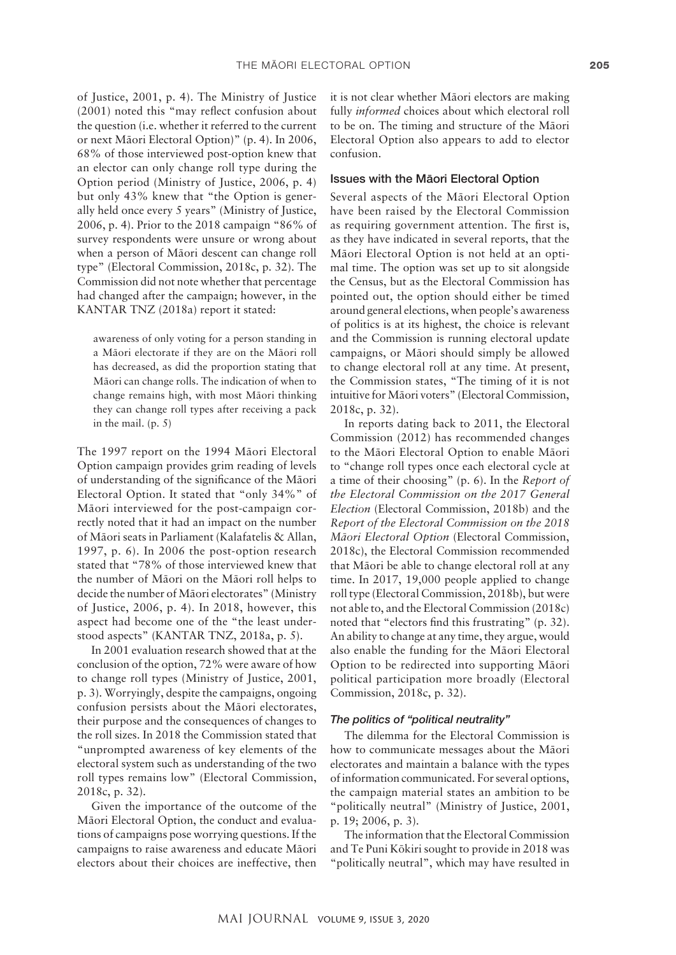of Justice, 2001, p. 4). The Ministry of Justice (2001) noted this "may reflect confusion about the question (i.e. whether it referred to the current or next Mäori Electoral Option)" (p. 4). In 2006, 68% of those interviewed post-option knew that an elector can only change roll type during the Option period (Ministry of Justice, 2006, p. 4) but only 43% knew that "the Option is generally held once every 5 years" (Ministry of Justice, 2006, p. 4). Prior to the 2018 campaign "86% of survey respondents were unsure or wrong about when a person of Mäori descent can change roll type" (Electoral Commission, 2018c, p. 32). The Commission did not note whether that percentage had changed after the campaign; however, in the KANTAR TNZ (2018a) report it stated:

awareness of only voting for a person standing in a Mäori electorate if they are on the Mäori roll has decreased, as did the proportion stating that Mäori can change rolls. The indication of when to change remains high, with most Mäori thinking they can change roll types after receiving a pack in the mail. (p. 5)

The 1997 report on the 1994 Mäori Electoral Option campaign provides grim reading of levels of understanding of the significance of the Mäori Electoral Option. It stated that "only 34%" of Mäori interviewed for the post-campaign correctly noted that it had an impact on the number of Mäori seats in Parliament (Kalafatelis & Allan, 1997, p. 6). In 2006 the post-option research stated that "78% of those interviewed knew that the number of Mäori on the Mäori roll helps to decide the number of Mäori electorates" (Ministry of Justice, 2006, p. 4). In 2018, however, this aspect had become one of the "the least understood aspects" (KANTAR TNZ, 2018a, p. 5).

In 2001 evaluation research showed that at the conclusion of the option, 72% were aware of how to change roll types (Ministry of Justice, 2001, p. 3). Worryingly, despite the campaigns, ongoing confusion persists about the Mäori electorates, their purpose and the consequences of changes to the roll sizes. In 2018 the Commission stated that "unprompted awareness of key elements of the electoral system such as understanding of the two roll types remains low" (Electoral Commission, 2018c, p. 32).

Given the importance of the outcome of the Mäori Electoral Option, the conduct and evaluations of campaigns pose worrying questions. If the campaigns to raise awareness and educate Mäori electors about their choices are ineffective, then it is not clear whether Mäori electors are making fully *informed* choices about which electoral roll to be on. The timing and structure of the Mäori Electoral Option also appears to add to elector confusion.

## Issues with the Mäori Electoral Option

Several aspects of the Mäori Electoral Option have been raised by the Electoral Commission as requiring government attention. The first is, as they have indicated in several reports, that the Mäori Electoral Option is not held at an optimal time. The option was set up to sit alongside the Census, but as the Electoral Commission has pointed out, the option should either be timed around general elections, when people's awareness of politics is at its highest, the choice is relevant and the Commission is running electoral update campaigns, or Mäori should simply be allowed to change electoral roll at any time. At present, the Commission states, "The timing of it is not intuitive for Mäori voters" (Electoral Commission, 2018c, p. 32).

In reports dating back to 2011, the Electoral Commission (2012) has recommended changes to the Mäori Electoral Option to enable Mäori to "change roll types once each electoral cycle at a time of their choosing" (p. 6). In the *Report of the Electoral Commission on the 2017 General Election* (Electoral Commission, 2018b) and the *Report of the Electoral Commission on the 2018 Mäori Electoral Option* (Electoral Commission, 2018c), the Electoral Commission recommended that Mäori be able to change electoral roll at any time. In 2017, 19,000 people applied to change roll type (Electoral Commission, 2018b), but were not able to, and the Electoral Commission (2018c) noted that "electors find this frustrating" (p. 32). An ability to change at any time, they argue, would also enable the funding for the Mäori Electoral Option to be redirected into supporting Mäori political participation more broadly (Electoral Commission, 2018c, p. 32).

## *The politics of "political neutrality"*

The dilemma for the Electoral Commission is how to communicate messages about the Mäori electorates and maintain a balance with the types of information communicated. For several options, the campaign material states an ambition to be "politically neutral" (Ministry of Justice, 2001, p. 19; 2006, p. 3).

The information that the Electoral Commission and Te Puni Kökiri sought to provide in 2018 was "politically neutral", which may have resulted in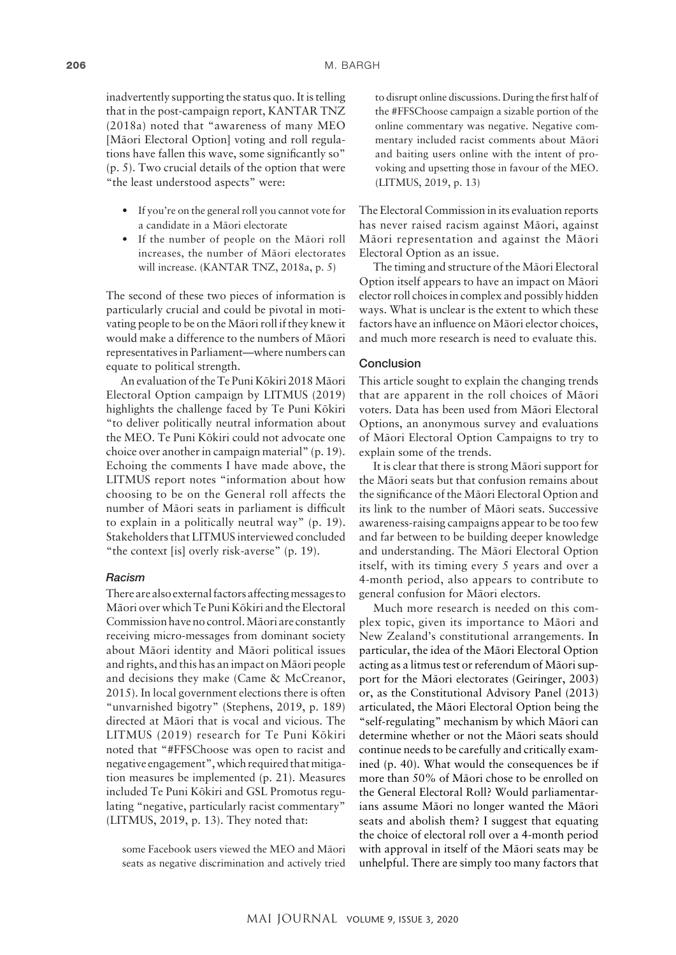inadvertently supporting the status quo. It is telling that in the post-campaign report, KANTAR TNZ (2018a) noted that "awareness of many MEO [Mäori Electoral Option] voting and roll regulations have fallen this wave, some significantly so" (p. 5). Two crucial details of the option that were "the least understood aspects" were:

- If you're on the general roll you cannot vote for a candidate in a Mäori electorate
- If the number of people on the Mäori roll increases, the number of Mäori electorates will increase. (KANTAR TNZ, 2018a, p. 5)

The second of these two pieces of information is particularly crucial and could be pivotal in motivating people to be on the Mäori roll if they knew it would make a difference to the numbers of Mäori representatives in Parliament—where numbers can equate to political strength.

An evaluation of the Te Puni Kökiri 2018 Mäori Electoral Option campaign by LITMUS (2019) highlights the challenge faced by Te Puni Kökiri "to deliver politically neutral information about the MEO. Te Puni Kökiri could not advocate one choice over another in campaign material" (p. 19). Echoing the comments I have made above, the LITMUS report notes "information about how choosing to be on the General roll affects the number of Mäori seats in parliament is difficult to explain in a politically neutral way" (p. 19). Stakeholders that LITMUS interviewed concluded "the context [is] overly risk-averse" (p. 19).

#### *Racism*

There are also external factors affecting messages to Mäori over which Te Puni Kökiri and the Electoral Commission have no control. Mäori are constantly receiving micro-messages from dominant society about Mäori identity and Mäori political issues and rights, and this has an impact on Mäori people and decisions they make (Came & McCreanor, 2015). In local government elections there is often "unvarnished bigotry" (Stephens, 2019, p. 189) directed at Mäori that is vocal and vicious. The LITMUS (2019) research for Te Puni Kökiri noted that "#FFSChoose was open to racist and negative engagement", which required that mitigation measures be implemented (p. 21). Measures included Te Puni Kökiri and GSL Promotus regulating "negative, particularly racist commentary" (LITMUS, 2019, p. 13). They noted that:

some Facebook users viewed the MEO and Mäori seats as negative discrimination and actively tried

to disrupt online discussions. During the first half of the #FFSChoose campaign a sizable portion of the online commentary was negative. Negative commentary included racist comments about Mäori and baiting users online with the intent of provoking and upsetting those in favour of the MEO. (LITMUS, 2019, p. 13)

The Electoral Commission in its evaluation reports has never raised racism against Mäori, against Mäori representation and against the Mäori Electoral Option as an issue.

The timing and structure of the Mäori Electoral Option itself appears to have an impact on Mäori elector roll choices in complex and possibly hidden ways. What is unclear is the extent to which these factors have an influence on Mäori elector choices, and much more research is need to evaluate this.

#### Conclusion

This article sought to explain the changing trends that are apparent in the roll choices of Mäori voters. Data has been used from Mäori Electoral Options, an anonymous survey and evaluations of Mäori Electoral Option Campaigns to try to explain some of the trends.

It is clear that there is strong Mäori support for the Mäori seats but that confusion remains about the significance of the Mäori Electoral Option and its link to the number of Mäori seats. Successive awareness-raising campaigns appear to be too few and far between to be building deeper knowledge and understanding. The Mäori Electoral Option itself, with its timing every 5 years and over a 4-month period, also appears to contribute to general confusion for Mäori electors.

Much more research is needed on this complex topic, given its importance to Mäori and New Zealand's constitutional arrangements. In particular, the idea of the Mäori Electoral Option acting as a litmus test or referendum of Mäori support for the Mäori electorates (Geiringer, 2003) or, as the Constitutional Advisory Panel (2013) articulated, the Mäori Electoral Option being the "self-regulating" mechanism by which Mäori can determine whether or not the Mäori seats should continue needs to be carefully and critically examined (p. 40). What would the consequences be if more than 50% of Mäori chose to be enrolled on the General Electoral Roll? Would parliamentarians assume Mäori no longer wanted the Mäori seats and abolish them? I suggest that equating the choice of electoral roll over a 4-month period with approval in itself of the Mäori seats may be unhelpful. There are simply too many factors that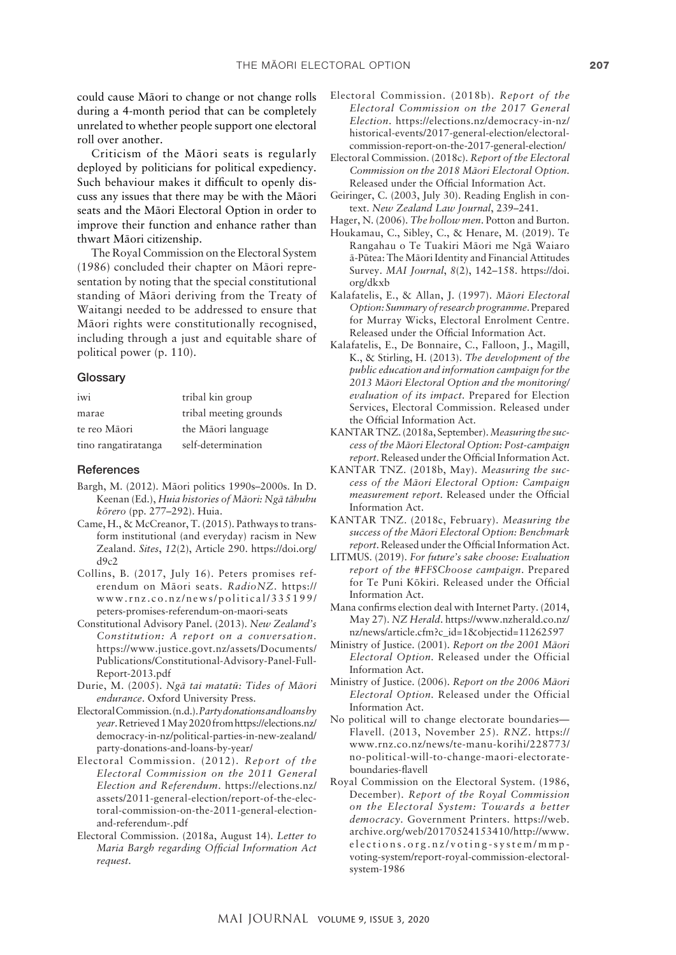could cause Mäori to change or not change rolls during a 4-month period that can be completely unrelated to whether people support one electoral roll over another.

Criticism of the Mäori seats is regularly deployed by politicians for political expediency. Such behaviour makes it difficult to openly discuss any issues that there may be with the Mäori seats and the Mäori Electoral Option in order to improve their function and enhance rather than thwart Mäori citizenship.

The Royal Commission on the Electoral System (1986) concluded their chapter on Mäori representation by noting that the special constitutional standing of Mäori deriving from the Treaty of Waitangi needed to be addressed to ensure that Mäori rights were constitutionally recognised, including through a just and equitable share of political power (p. 110).

#### **Glossary**

| iwi                 | tribal kin group       |
|---------------------|------------------------|
| marae               | tribal meeting grounds |
| te reo Māori        | the Māori language     |
| tino rangatiratanga | self-determination     |

#### References

- Bargh, M. (2012). Mäori politics 1990s–2000s. In D. Keenan (Ed.), *Huia histories of Mäori: Ngä tähuhu körero* (pp. 277–292). Huia.
- Came, H., & McCreanor, T. (2015). Pathways to transform institutional (and everyday) racism in New Zealand. *Sites*, *12*(2), Article 290. [https://doi.org/](https://doi.org/d9c2)  $d9c2$
- Collins, B. (2017, July 16). Peters promises referendum on Mäori seats. *RadioNZ*. [https://](https://www.rnz.co.nz/news/political/335199/peters-promises-referendum-on-maori-seats) [www.rnz.co.nz/news/political/335199/](https://www.rnz.co.nz/news/political/335199/peters-promises-referendum-on-maori-seats) [peters-promises-referendum-on-maori-seats](https://www.rnz.co.nz/news/political/335199/peters-promises-referendum-on-maori-seats)
- Constitutional Advisory Panel. (2013). *New Zealand's Constitution: A report on a conversation*. [https://www.justice.govt.nz/assets/Documents/](https://www.justice.govt.nz/assets/Documents/Publications/Constitutional-Advisory-Panel-Full-Report-2013.pdf) [Publications/Constitutional-Advisory-Panel-Full-](https://www.justice.govt.nz/assets/Documents/Publications/Constitutional-Advisory-Panel-Full-Report-2013.pdf)[Report-2013.pdf](https://www.justice.govt.nz/assets/Documents/Publications/Constitutional-Advisory-Panel-Full-Report-2013.pdf)
- Durie, M. (2005). *Ngä tai matatü: Tides of Mäori endurance*. Oxford University Press.
- Electoral Commission. (n.d.). *Party donations and loans by year*. Retrieved 1 May 2020 from [https://elections.nz/](https://elections.nz/democracy-in-nz/political-parties-in-new-zealand/party-donations-and-loans-by-year/) [democracy-in-nz/political-parties-in-new-zealand/](https://elections.nz/democracy-in-nz/political-parties-in-new-zealand/party-donations-and-loans-by-year/) [party-donations-and-loans-by-year/](https://elections.nz/democracy-in-nz/political-parties-in-new-zealand/party-donations-and-loans-by-year/)
- Electoral Commission. (2012). *Report of the Electoral Commission on the 2011 General Election and Referendum*. [https://elections.nz/](https://elections.nz/assets/2011-general-election/report-of-the-electoral-commission-on-the-2011-general-election-and-referendum-.pdf) [assets/2011-general-election/report-of-the-elec](https://elections.nz/assets/2011-general-election/report-of-the-electoral-commission-on-the-2011-general-election-and-referendum-.pdf)[toral-commission-on-the-2011-general-election](https://elections.nz/assets/2011-general-election/report-of-the-electoral-commission-on-the-2011-general-election-and-referendum-.pdf)[and-referendum-.pdf](https://elections.nz/assets/2011-general-election/report-of-the-electoral-commission-on-the-2011-general-election-and-referendum-.pdf)
- Electoral Commission. (2018a, August 14). *Letter to Maria Bargh regarding Official Information Act request*.
- Electoral Commission. (2018b). *Report of the Electoral Commission on the 2017 General Election*. [https://elections.nz/democracy-in-nz/](https://elections.nz/democracy-in-nz/historical-events/2017-general-election/electoral-commission-report-on-the-2017-general-election/) [historical-events/2017-general-election/electoral](https://elections.nz/democracy-in-nz/historical-events/2017-general-election/electoral-commission-report-on-the-2017-general-election/)[commission-report-on-the-2017-general-election/](https://elections.nz/democracy-in-nz/historical-events/2017-general-election/electoral-commission-report-on-the-2017-general-election/)
- Electoral Commission. (2018c). *Report of the Electoral Commission on the 2018 Mäori Electoral Option*. Released under the Official Information Act.
- Geiringer, C. (2003, July 30). Reading English in context. *New Zealand Law Journal*, 239–241.
- Hager, N. (2006). *The hollow men*. Potton and Burton.
- Houkamau, C., Sibley, C., & Henare, M. (2019). Te Rangahau o Te Tuakiri Mäori me Ngä Waiaro ä-Pütea: The Mäori Identity and Financial Attitudes Survey. *MAI Journal*, *8*(2), 142–158. [https://doi.](https://doi.org/dkxb) [org/dkxb](https://doi.org/dkxb)
- Kalafatelis, E., & Allan, J. (1997). *Mäori Electoral Option: Summary of research programme*. Prepared for Murray Wicks, Electoral Enrolment Centre. Released under the Official Information Act.
- Kalafatelis, E., De Bonnaire, C., Falloon, J., Magill, K., & Stirling, H. (2013). *The development of the public education and information campaign for the 2013 Mäori Electoral Option and the monitoring/ evaluation of its impact.* Prepared for Election Services, Electoral Commission. Released under the Official Information Act.
- KANTAR TNZ. (2018a, September). *Measuring the success of the Mäori Electoral Option: Post-campaign report*. Released under the Official Information Act.
- KANTAR TNZ. (2018b, May). *Measuring the success of the Mäori Electoral Option: Campaign measurement report*. Released under the Official Information Act.
- KANTAR TNZ. (2018c, February). *Measuring the success of the Mäori Electoral Option: Benchmark report*. Released under the Official Information Act.
- LITMUS. (2019). *For future's sake choose: Evaluation report of the #FFSChoose campaign*. Prepared for Te Puni Kökiri. Released under the Official Information Act.
- Mana confirms election deal with Internet Party. (2014, May 27). *NZ Herald*. [https://www.nzherald.co.nz/](https://www.nzherald.co.nz/nz/news/article.cfm?c_id=1&objectid=11262597) [nz/news/article.cfm?c\\_id=1&objectid=11262597](https://www.nzherald.co.nz/nz/news/article.cfm?c_id=1&objectid=11262597)
- Ministry of Justice. (2001). *Report on the 2001 Mäori Electoral Option.* Released under the Official Information Act.
- Ministry of Justice. (2006). *Report on the 2006 Mäori Electoral Option.* Released under the Official Information Act.
- No political will to change electorate boundaries— Flavell. (2013, November 25). *RNZ*. https:// [www.rnz.co.nz/news/te-manu-korihi/228773/](http://www.rnz.co.nz/news/te-manu-korihi/228773/no-political-will-to-change-maori-electorate-boundaries-flavell) [no-political-will-to-change-maori-electorate](http://www.rnz.co.nz/news/te-manu-korihi/228773/no-political-will-to-change-maori-electorate-boundaries-flavell)[boundaries-flavell](http://www.rnz.co.nz/news/te-manu-korihi/228773/no-political-will-to-change-maori-electorate-boundaries-flavell)
- Royal Commission on the Electoral System. (1986, December). *Report of the Royal Commission on the Electoral System: Towards a better democracy*. Government Printers. [https://web.](https://web.archive.org/web/20170524153410/http://www.elections.org.nz/voting-system/mmp-voting-system/report-royal-commission-electoral-system-1986) [archive.org/web/20170524153410/http://www.](https://web.archive.org/web/20170524153410/http://www.elections.org.nz/voting-system/mmp-voting-system/report-royal-commission-electoral-system-1986) [elections.org.nz/voting-system/mmp](https://web.archive.org/web/20170524153410/http://www.elections.org.nz/voting-system/mmp-voting-system/report-royal-commission-electoral-system-1986)[voting-system/report-royal-commission-electoral](https://web.archive.org/web/20170524153410/http://www.elections.org.nz/voting-system/mmp-voting-system/report-royal-commission-electoral-system-1986)[system-1986](https://web.archive.org/web/20170524153410/http://www.elections.org.nz/voting-system/mmp-voting-system/report-royal-commission-electoral-system-1986)